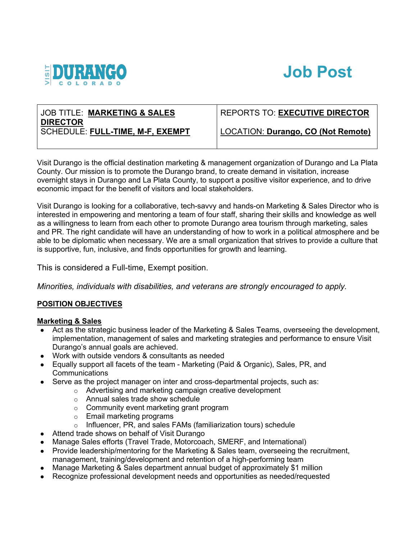

# **Job Post**

# JOB TITLE: **MARKETING & SALES DIRECTOR** SCHEDULE: **FULL-TIME, M-F, EXEMPT**

# REPORTS TO: **EXECUTIVE DIRECTOR**

LOCATION: **Durango, CO (Not Remote)**

Visit Durango is the official destination marketing & management organization of Durango and La Plata County. Our mission is to promote the Durango brand, to create demand in visitation, increase overnight stays in Durango and La Plata County, to support a positive visitor experience, and to drive economic impact for the benefit of visitors and local stakeholders.

Visit Durango is looking for a collaborative, tech-savvy and hands-on Marketing & Sales Director who is interested in empowering and mentoring a team of four staff, sharing their skills and knowledge as well as a willingness to learn from each other to promote Durango area tourism through marketing, sales and PR. The right candidate will have an understanding of how to work in a political atmosphere and be able to be diplomatic when necessary. We are a small organization that strives to provide a culture that is supportive, fun, inclusive, and finds opportunities for growth and learning.

This is considered a Full-time, Exempt position.

*Minorities, individuals with disabilities, and veterans are strongly encouraged to apply.*

# **POSITION OBJECTIVES**

# **Marketing & Sales**

- Act as the strategic business leader of the Marketing & Sales Teams, overseeing the development, implementation, management of sales and marketing strategies and performance to ensure Visit Durango's annual goals are achieved.
- Work with outside vendors & consultants as needed
- Equally support all facets of the team Marketing (Paid & Organic), Sales, PR, and Communications
- Serve as the project manager on inter and cross-departmental projects, such as:
	- o Advertising and marketing campaign creative development
		- o Annual sales trade show schedule
		- o Community event marketing grant program
		- o Email marketing programs
		- o Influencer, PR, and sales FAMs (familiarization tours) schedule
- Attend trade shows on behalf of Visit Durango
- Manage Sales efforts (Travel Trade, Motorcoach, SMERF, and International)
- Provide leadership/mentoring for the Marketing & Sales team, overseeing the recruitment, management, training/development and retention of a high-performing team
- Manage Marketing & Sales department annual budget of approximately \$1 million
- Recognize professional development needs and opportunities as needed/requested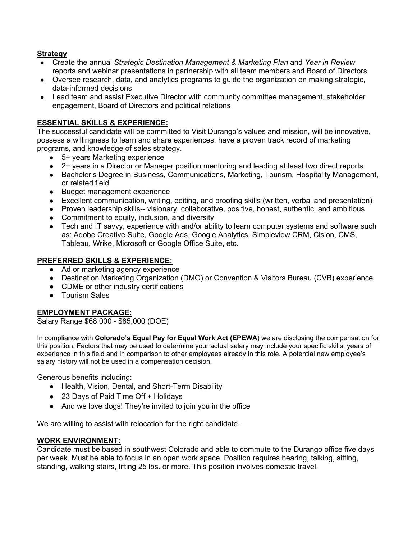#### **Strategy**

- Create the annual *Strategic Destination Management & Marketing Plan* and *Year in Review* reports and webinar presentations in partnership with all team members and Board of Directors
- Oversee research, data, and analytics programs to guide the organization on making strategic, data-informed decisions
- Lead team and assist Executive Director with community committee management, stakeholder engagement, Board of Directors and political relations

#### **ESSENTIAL SKILLS & EXPERIENCE:**

The successful candidate will be committed to Visit Durango's values and mission, will be innovative, possess a willingness to learn and share experiences, have a proven track record of marketing programs, and knowledge of sales strategy.

- 5+ years Marketing experience
- 2+ years in a Director or Manager position mentoring and leading at least two direct reports
- Bachelor's Degree in Business, Communications, Marketing, Tourism, Hospitality Management, or related field
- Budget management experience
- Excellent communication, writing, editing, and proofing skills (written, verbal and presentation)
- Proven leadership skills-- visionary, collaborative, positive, honest, authentic, and ambitious
- Commitment to equity, inclusion, and diversity
- Tech and IT savvy, experience with and/or ability to learn computer systems and software such as: Adobe Creative Suite, Google Ads, Google Analytics, Simpleview CRM, Cision, CMS, Tableau, Wrike, Microsoft or Google Office Suite, etc.

#### **PREFERRED SKILLS & EXPERIENCE:**

- Ad or marketing agency experience
- Destination Marketing Organization (DMO) or Convention & Visitors Bureau (CVB) experience
- CDME or other industry certifications
- Tourism Sales

# **EMPLOYMENT PACKAGE:**

Salary Range \$68,000 - \$85,000 (DOE)

In compliance with **Colorado's Equal Pay for Equal Work Act (EPEWA**) we are disclosing the compensation for this position. Factors that may be used to determine your actual salary may include your specific skills, years of experience in this field and in comparison to other employees already in this role. A potential new employee's salary history will not be used in a compensation decision.

Generous benefits including:

- Health, Vision, Dental, and Short-Term Disability
- 23 Days of Paid Time Off + Holidays
- And we love dogs! They're invited to join you in the office

We are willing to assist with relocation for the right candidate.

#### **WORK ENVIRONMENT:**

Candidate must be based in southwest Colorado and able to commute to the Durango office five days per week. Must be able to focus in an open work space. Position requires hearing, talking, sitting, standing, walking stairs, lifting 25 lbs. or more. This position involves domestic travel.